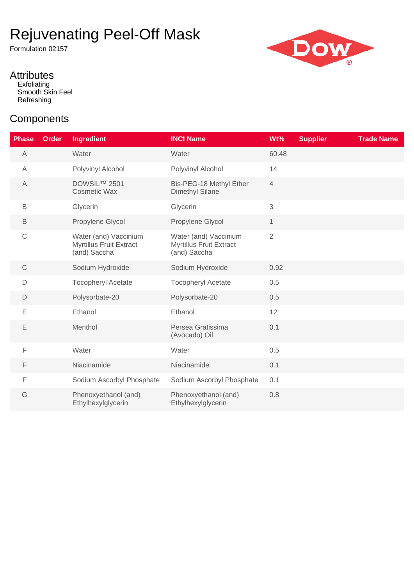# Rejuvenating Peel-Off Mask

Formulation 02157



## Attributes

**Exfoliating** Smooth Skin Feel Refreshing

### **Components**

| <b>Phase</b> | Order | Ingredient                                                              | <b>INCI Name</b>                                                        | Wt%            | <b>Supplier</b> | <b>Trade Name</b> |
|--------------|-------|-------------------------------------------------------------------------|-------------------------------------------------------------------------|----------------|-----------------|-------------------|
| A            |       | Water                                                                   | Water                                                                   | 60.48          |                 |                   |
| A            |       | Polyvinyl Alcohol                                                       | Polyvinyl Alcohol                                                       | 14             |                 |                   |
| A            |       | DOWSIL™ 2501<br><b>Cosmetic Wax</b>                                     | Bis-PEG-18 Methyl Ether<br><b>Dimethyl Silane</b>                       | $\overline{4}$ |                 |                   |
| B            |       | Glycerin                                                                | Glycerin                                                                | 3              |                 |                   |
| $\mathsf B$  |       | Propylene Glycol                                                        | Propylene Glycol                                                        | $\mathbf{1}$   |                 |                   |
| $\mathsf C$  |       | Water (and) Vaccinium<br><b>Myrtillus Fruit Extract</b><br>(and) Saccha | Water (and) Vaccinium<br><b>Myrtillus Fruit Extract</b><br>(and) Saccha | $\overline{2}$ |                 |                   |
| $\mathsf C$  |       | Sodium Hydroxide                                                        | Sodium Hydroxide                                                        | 0.92           |                 |                   |
| $\mathsf D$  |       | <b>Tocopheryl Acetate</b>                                               | <b>Tocopheryl Acetate</b>                                               | 0.5            |                 |                   |
| D            |       | Polysorbate-20                                                          | Polysorbate-20                                                          | 0.5            |                 |                   |
| Ε            |       | Ethanol                                                                 | Ethanol                                                                 | 12             |                 |                   |
| E            |       | Menthol                                                                 | Persea Gratissima<br>(Avocado) Oil                                      | 0.1            |                 |                   |
| F            |       | Water                                                                   | Water                                                                   | 0.5            |                 |                   |
| F            |       | Niacinamide                                                             | Niacinamide                                                             | 0.1            |                 |                   |
| F            |       | Sodium Ascorbyl Phosphate                                               | Sodium Ascorbyl Phosphate                                               | 0.1            |                 |                   |
| G            |       | Phenoxyethanol (and)<br>Ethylhexylglycerin                              | Phenoxyethanol (and)<br>Ethylhexylglycerin                              | 0.8            |                 |                   |